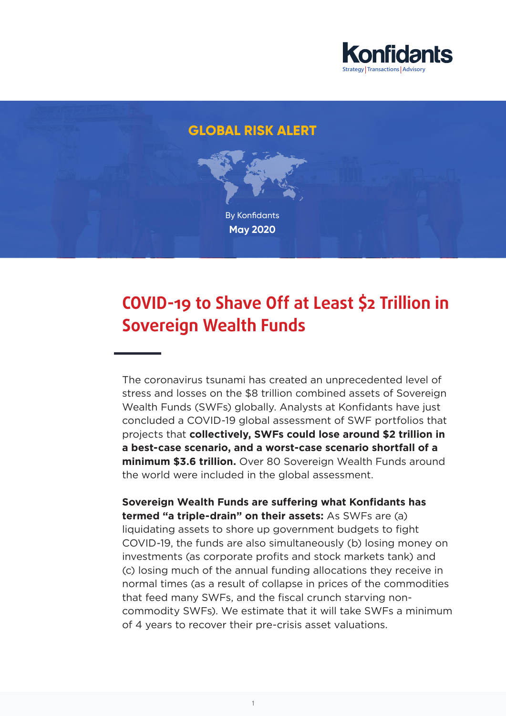

### **GLOBAL RISK ALERT**

By Konfidants **May 2020**

# **COVID-19 to Shave Off at Least \$2 Trillion in Sovereign Wealth Funds**

The coronavirus tsunami has created an unprecedented level of stress and losses on the \$8 trillion combined assets of Sovereign Wealth Funds (SWFs) globally. Analysts at Konfidants have just concluded a COVID-19 global assessment of SWF portfolios that projects that **collectively, SWFs could lose around \$2 trillion in a best-case scenario, and a worst-case scenario shortfall of a minimum \$3.6 trillion.** Over 80 Sovereign Wealth Funds around the world were included in the global assessment.

**Sovereign Wealth Funds are suffering what Konfidants has termed "a triple-drain" on their assets:** As SWFs are (a) liquidating assets to shore up government budgets to fight COVID-19, the funds are also simultaneously (b) losing money on investments (as corporate profits and stock markets tank) and (c) losing much of the annual funding allocations they receive in normal times (as a result of collapse in prices of the commodities that feed many SWFs, and the fiscal crunch starving noncommodity SWFs). We estimate that it will take SWFs a minimum of 4 years to recover their pre-crisis asset valuations.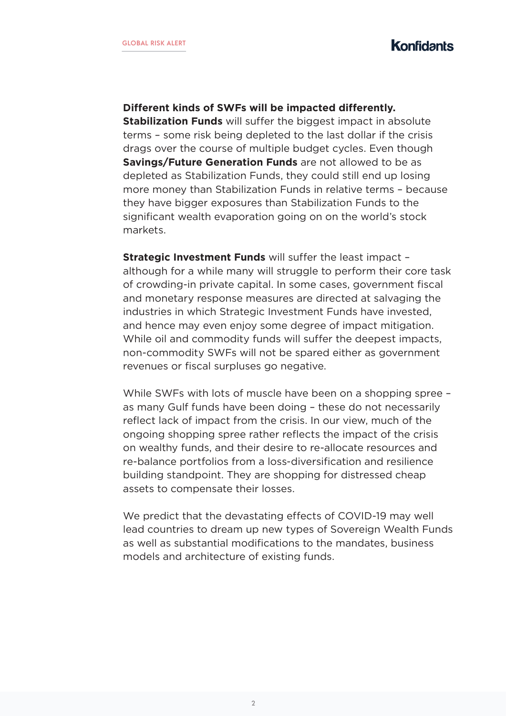#### **Different kinds of SWFs will be impacted differently.**

**Stabilization Funds** will suffer the biggest impact in absolute terms – some risk being depleted to the last dollar if the crisis drags over the course of multiple budget cycles. Even though **Savings/Future Generation Funds** are not allowed to be as depleted as Stabilization Funds, they could still end up losing more money than Stabilization Funds in relative terms – because they have bigger exposures than Stabilization Funds to the significant wealth evaporation going on on the world's stock markets.

**Strategic Investment Funds** will suffer the least impact although for a while many will struggle to perform their core task of crowding-in private capital. In some cases, government fiscal and monetary response measures are directed at salvaging the industries in which Strategic Investment Funds have invested, and hence may even enjoy some degree of impact mitigation. While oil and commodity funds will suffer the deepest impacts, non-commodity SWFs will not be spared either as government revenues or fiscal surpluses go negative.

While SWFs with lots of muscle have been on a shopping spree – as many Gulf funds have been doing – these do not necessarily reflect lack of impact from the crisis. In our view, much of the ongoing shopping spree rather reflects the impact of the crisis on wealthy funds, and their desire to re-allocate resources and re-balance portfolios from a loss-diversification and resilience building standpoint. They are shopping for distressed cheap assets to compensate their losses.

We predict that the devastating effects of COVID-19 may well lead countries to dream up new types of Sovereign Wealth Funds as well as substantial modifications to the mandates, business models and architecture of existing funds.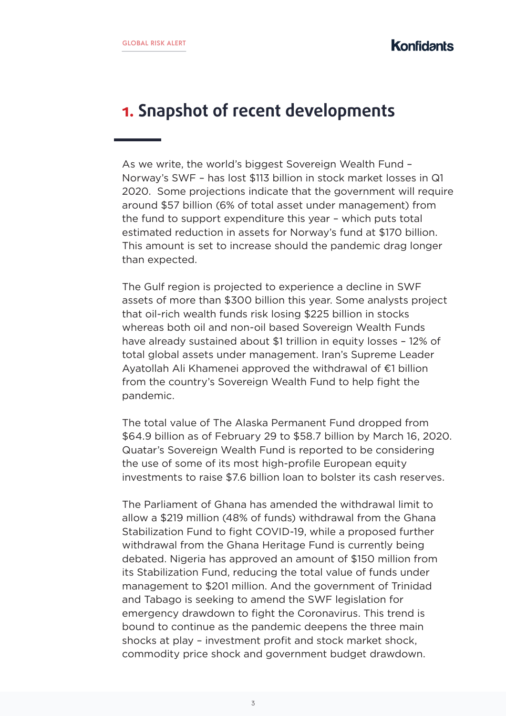## **1. Snapshot of recent developments**

As we write, the world's biggest Sovereign Wealth Fund – Norway's SWF – has lost \$113 billion in stock market losses in Q1 2020. Some projections indicate that the government will require around \$57 billion (6% of total asset under management) from the fund to support expenditure this year – which puts total estimated reduction in assets for Norway's fund at \$170 billion. This amount is set to increase should the pandemic drag longer than expected.

The Gulf region is projected to experience a decline in SWF assets of more than \$300 billion this year. Some analysts project that oil-rich wealth funds risk losing \$225 billion in stocks whereas both oil and non-oil based Sovereign Wealth Funds have already sustained about \$1 trillion in equity losses – 12% of total global assets under management. Iran's Supreme Leader Avatollah Ali Khamenei approved the withdrawal of  $E1$  billion from the country's Sovereign Wealth Fund to help fight the pandemic.

The total value of The Alaska Permanent Fund dropped from \$64.9 billion as of February 29 to \$58.7 billion by March 16, 2020. Quatar's Sovereign Wealth Fund is reported to be considering the use of some of its most high-profile European equity investments to raise \$7.6 billion loan to bolster its cash reserves.

The Parliament of Ghana has amended the withdrawal limit to allow a \$219 million (48% of funds) withdrawal from the Ghana Stabilization Fund to fight COVID-19, while a proposed further withdrawal from the Ghana Heritage Fund is currently being debated. Nigeria has approved an amount of \$150 million from its Stabilization Fund, reducing the total value of funds under management to \$201 million. And the government of Trinidad and Tabago is seeking to amend the SWF legislation for emergency drawdown to fight the Coronavirus. This trend is bound to continue as the pandemic deepens the three main shocks at play – investment profit and stock market shock, commodity price shock and government budget drawdown.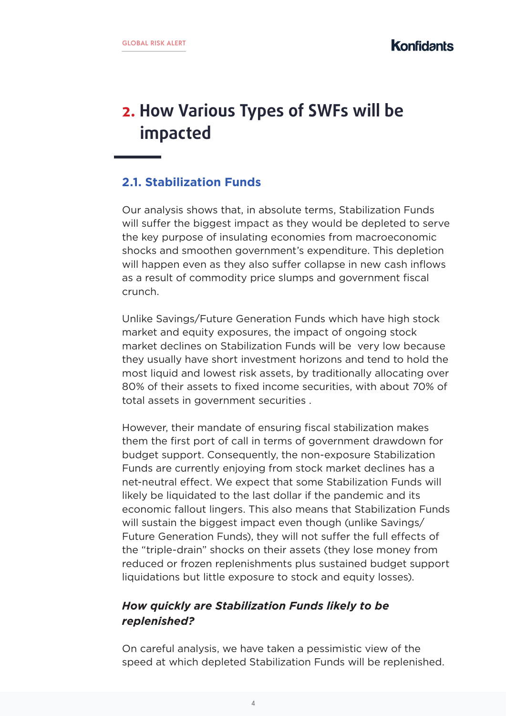# **2. How Various Types of SWFs will be impacted**

#### **2.1. Stabilization Funds**

Our analysis shows that, in absolute terms, Stabilization Funds will suffer the biggest impact as they would be depleted to serve the key purpose of insulating economies from macroeconomic shocks and smoothen government's expenditure. This depletion will happen even as they also suffer collapse in new cash inflows as a result of commodity price slumps and government fiscal crunch.

Unlike Savings/Future Generation Funds which have high stock market and equity exposures, the impact of ongoing stock market declines on Stabilization Funds will be very low because they usually have short investment horizons and tend to hold the most liquid and lowest risk assets, by traditionally allocating over 80% of their assets to fixed income securities, with about 70% of total assets in government securities .

However, their mandate of ensuring fiscal stabilization makes them the first port of call in terms of government drawdown for budget support. Consequently, the non-exposure Stabilization Funds are currently enjoying from stock market declines has a net-neutral effect. We expect that some Stabilization Funds will likely be liquidated to the last dollar if the pandemic and its economic fallout lingers. This also means that Stabilization Funds will sustain the biggest impact even though (unlike Savings/ Future Generation Funds), they will not suffer the full effects of the "triple-drain" shocks on their assets (they lose money from reduced or frozen replenishments plus sustained budget support liquidations but little exposure to stock and equity losses).

### *How quickly are Stabilization Funds likely to be replenished?*

On careful analysis, we have taken a pessimistic view of the speed at which depleted Stabilization Funds will be replenished.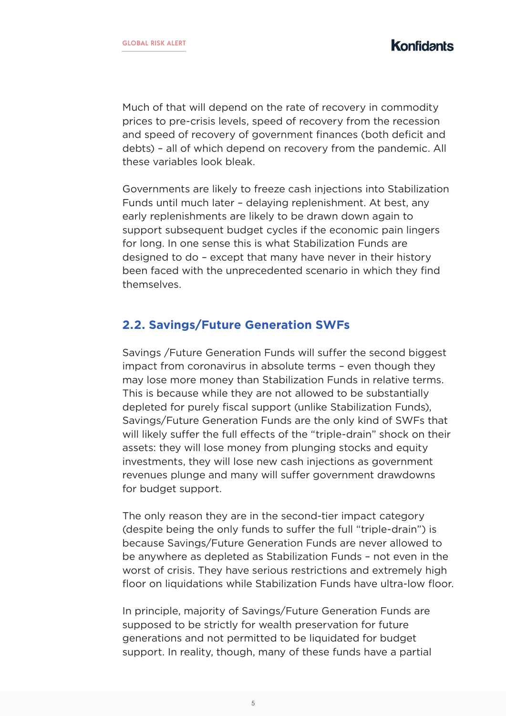Much of that will depend on the rate of recovery in commodity prices to pre-crisis levels, speed of recovery from the recession and speed of recovery of government finances (both deficit and debts) – all of which depend on recovery from the pandemic. All these variables look bleak.

Governments are likely to freeze cash injections into Stabilization Funds until much later – delaying replenishment. At best, any early replenishments are likely to be drawn down again to support subsequent budget cycles if the economic pain lingers for long. In one sense this is what Stabilization Funds are designed to do – except that many have never in their history been faced with the unprecedented scenario in which they find themselves.

#### **2.2. Savings/Future Generation SWFs**

Savings /Future Generation Funds will suffer the second biggest impact from coronavirus in absolute terms – even though they may lose more money than Stabilization Funds in relative terms. This is because while they are not allowed to be substantially depleted for purely fiscal support (unlike Stabilization Funds), Savings/Future Generation Funds are the only kind of SWFs that will likely suffer the full effects of the "triple-drain" shock on their assets: they will lose money from plunging stocks and equity investments, they will lose new cash injections as government revenues plunge and many will suffer government drawdowns for budget support.

The only reason they are in the second-tier impact category (despite being the only funds to suffer the full "triple-drain") is because Savings/Future Generation Funds are never allowed to be anywhere as depleted as Stabilization Funds – not even in the worst of crisis. They have serious restrictions and extremely high floor on liquidations while Stabilization Funds have ultra-low floor.

In principle, majority of Savings/Future Generation Funds are supposed to be strictly for wealth preservation for future generations and not permitted to be liquidated for budget support. In reality, though, many of these funds have a partial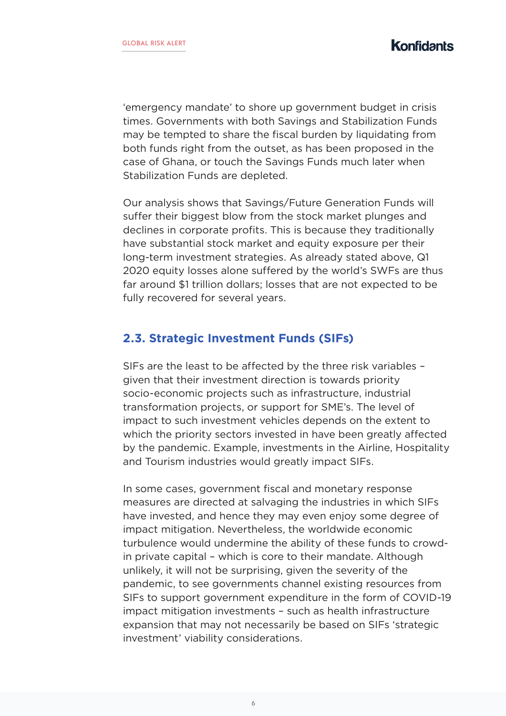'emergency mandate' to shore up government budget in crisis times. Governments with both Savings and Stabilization Funds may be tempted to share the fiscal burden by liquidating from both funds right from the outset, as has been proposed in the case of Ghana, or touch the Savings Funds much later when Stabilization Funds are depleted.

Our analysis shows that Savings/Future Generation Funds will suffer their biggest blow from the stock market plunges and declines in corporate profits. This is because they traditionally have substantial stock market and equity exposure per their long-term investment strategies. As already stated above, Q1 2020 equity losses alone suffered by the world's SWFs are thus far around \$1 trillion dollars; losses that are not expected to be fully recovered for several years.

#### **2.3. Strategic Investment Funds (SIFs)**

SIFs are the least to be affected by the three risk variables – given that their investment direction is towards priority socio-economic projects such as infrastructure, industrial transformation projects, or support for SME's. The level of impact to such investment vehicles depends on the extent to which the priority sectors invested in have been greatly affected by the pandemic. Example, investments in the Airline, Hospitality and Tourism industries would greatly impact SIFs.

In some cases, government fiscal and monetary response measures are directed at salvaging the industries in which SIFs have invested, and hence they may even enjoy some degree of impact mitigation. Nevertheless, the worldwide economic turbulence would undermine the ability of these funds to crowdin private capital – which is core to their mandate. Although unlikely, it will not be surprising, given the severity of the pandemic, to see governments channel existing resources from SIFs to support government expenditure in the form of COVID-19 impact mitigation investments – such as health infrastructure expansion that may not necessarily be based on SIFs 'strategic investment' viability considerations.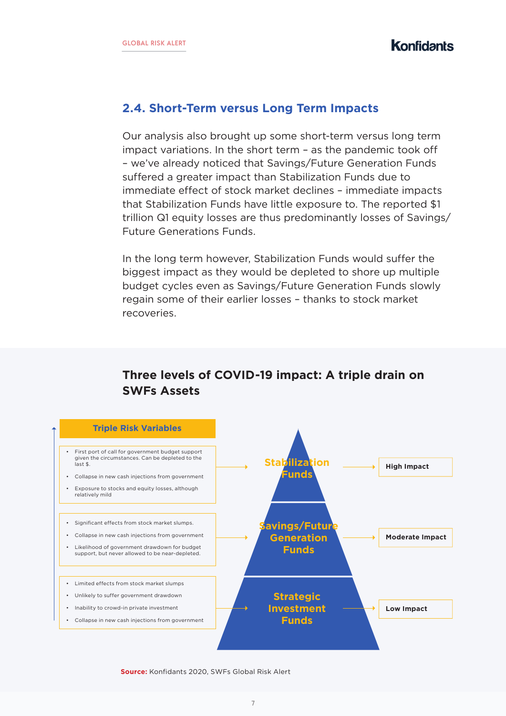### **2.4. Short-Term versus Long Term Impacts**

Our analysis also brought up some short-term versus long term impact variations. In the short term – as the pandemic took off – we've already noticed that Savings/Future Generation Funds suffered a greater impact than Stabilization Funds due to immediate effect of stock market declines – immediate impacts that Stabilization Funds have little exposure to. The reported \$1 trillion Q1 equity losses are thus predominantly losses of Savings/ Future Generations Funds.

In the long term however, Stabilization Funds would suffer the biggest impact as they would be depleted to shore up multiple budget cycles even as Savings/Future Generation Funds slowly regain some of their earlier losses – thanks to stock market recoveries.

### **Three levels of COVID-19 impact: A triple drain on SWFs Assets**



**Source:** Konfidants 2020, SWFs Global Risk Alert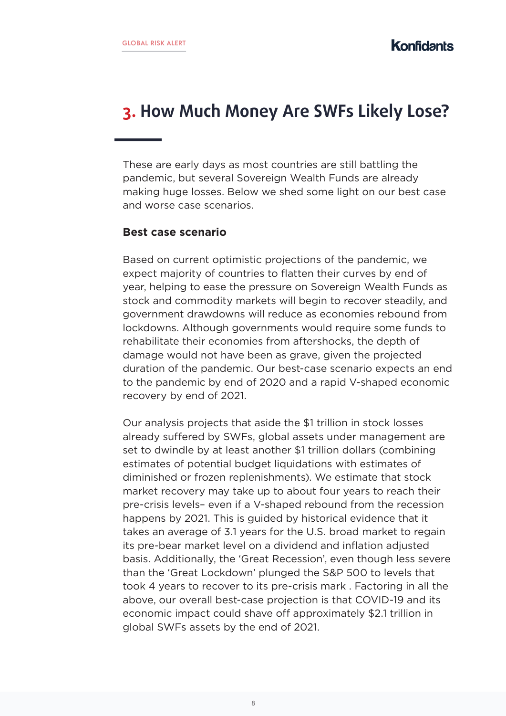## **3. How Much Money Are SWFs Likely Lose?**

These are early days as most countries are still battling the pandemic, but several Sovereign Wealth Funds are already making huge losses. Below we shed some light on our best case and worse case scenarios.

#### **Best case scenario**

Based on current optimistic projections of the pandemic, we expect majority of countries to flatten their curves by end of year, helping to ease the pressure on Sovereign Wealth Funds as stock and commodity markets will begin to recover steadily, and government drawdowns will reduce as economies rebound from lockdowns. Although governments would require some funds to rehabilitate their economies from aftershocks, the depth of damage would not have been as grave, given the projected duration of the pandemic. Our best-case scenario expects an end to the pandemic by end of 2020 and a rapid V-shaped economic recovery by end of 2021.

Our analysis projects that aside the \$1 trillion in stock losses already suffered by SWFs, global assets under management are set to dwindle by at least another \$1 trillion dollars (combining estimates of potential budget liquidations with estimates of diminished or frozen replenishments). We estimate that stock market recovery may take up to about four years to reach their pre-crisis levels– even if a V-shaped rebound from the recession happens by 2021. This is guided by historical evidence that it takes an average of 3.1 years for the U.S. broad market to regain its pre-bear market level on a dividend and inflation adjusted basis. Additionally, the 'Great Recession', even though less severe than the 'Great Lockdown' plunged the S&P 500 to levels that took 4 years to recover to its pre-crisis mark . Factoring in all the above, our overall best-case projection is that COVID-19 and its economic impact could shave off approximately \$2.1 trillion in global SWFs assets by the end of 2021.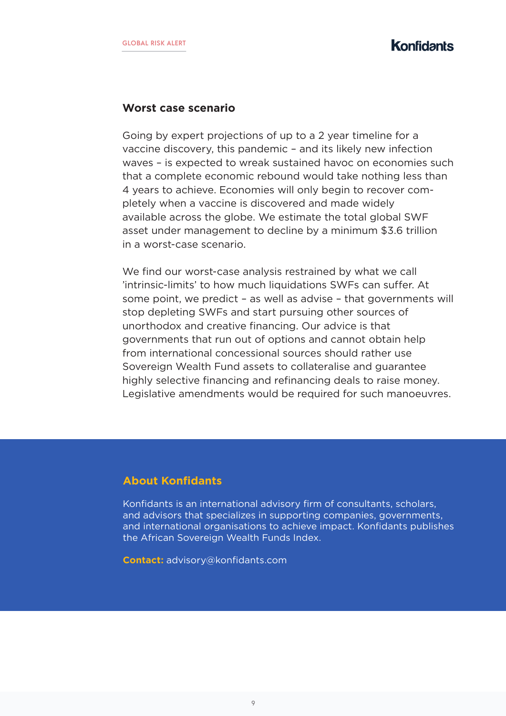#### **Worst case scenario**

Going by expert projections of up to a 2 year timeline for a vaccine discovery, this pandemic – and its likely new infection waves – is expected to wreak sustained havoc on economies such that a complete economic rebound would take nothing less than 4 years to achieve. Economies will only begin to recover completely when a vaccine is discovered and made widely available across the globe. We estimate the total global SWF asset under management to decline by a minimum \$3.6 trillion in a worst-case scenario.

We find our worst-case analysis restrained by what we call 'intrinsic-limits' to how much liquidations SWFs can suffer. At some point, we predict – as well as advise – that governments will stop depleting SWFs and start pursuing other sources of unorthodox and creative financing. Our advice is that governments that run out of options and cannot obtain help from international concessional sources should rather use Sovereign Wealth Fund assets to collateralise and guarantee highly selective financing and refinancing deals to raise money. Legislative amendments would be required for such manoeuvres.

#### **About Konfidants**

Konfidants is an international advisory firm of consultants, scholars, and advisors that specializes in supporting companies, governments, and international organisations to achieve impact. Konfidants publishes the African Sovereign Wealth Funds Index.

**Contact:** advisory@konfidants.com